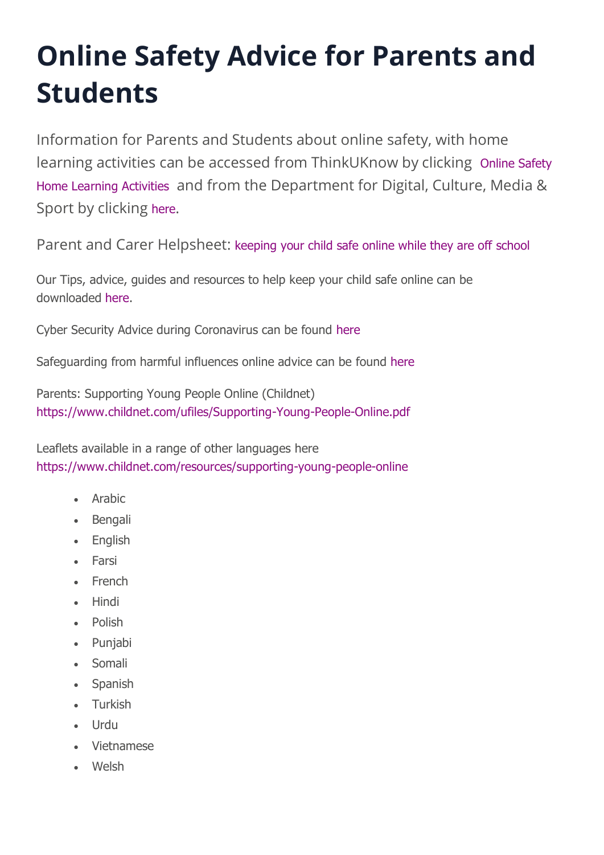# **Online Safety Advice for Parents and Students**

Information for Parents and Students about online safety, with home learning activities can be accessed from ThinkUKnow by clicking [Online Safety](https://www.thinkuknow.co.uk/parents/support-tools/home-activity-worksheets?utm_source=Thinkuknow&utm_campaign=03cb8440df-TUK_ONLINE_SAFETY_AT_HOME_24_03_20&utm_medium=email&utm_term=0_0b54505554-03cb8440df-64714073)  [Home Learning Activities](https://www.thinkuknow.co.uk/parents/support-tools/home-activity-worksheets?utm_source=Thinkuknow&utm_campaign=03cb8440df-TUK_ONLINE_SAFETY_AT_HOME_24_03_20&utm_medium=email&utm_term=0_0b54505554-03cb8440df-64714073) and from the Department for Digital, Culture, Media & Sport by clicking [here](https://www.gov.uk/guidance/covid-19-staying-safe-online).

Parent and Carer Helpsheet: [keeping your child safe online while they are off school](https://4905753ff3cea231a868-376d75cd2890937de6f542499f88a819.ssl.cf3.rackcdn.com/caterham/uploads/document/keeping-your-child-safe-online-while-they-are-off-school.pdf?t=1586415670?ts=1609847204)

Our Tips, advice, guides and resources to help keep your child safe online can be downloaded [here.](https://4905753ff3cea231a868-376d75cd2890937de6f542499f88a819.ssl.cf3.rackcdn.com/caterham/uploads/document/Online-Safety-COVID19.pdf?t=1609846805?ts=1609847245)

Cyber Security Advice during Coronavirus can be found [here](https://swgfl.org.uk/magazine/swgfl-cyber-security-advice-during-coronavirus/)

Safeguarding from harmful influences online advice can be found [here](https://4905753ff3cea231a868-376d75cd2890937de6f542499f88a819.ssl.cf3.rackcdn.com/caterham/uploads/document/Redbridge-Prevent-Digital-Safety-During-Covid-19.pdf?t=1589298507?ts=1609847204) 

Parents: Supporting Young People Online (Childnet) <https://www.childnet.com/ufiles/Supporting-Young-People-Online.pdf>

Leaflets available in a range of other languages here <https://www.childnet.com/resources/supporting-young-people-online>

- Arabic
- Bengali
- English
- Farsi
- French
- Hindi
- Polish
- Punjabi
- Somali
- Spanish
- Turkish
- Urdu
- Vietnamese
- Welsh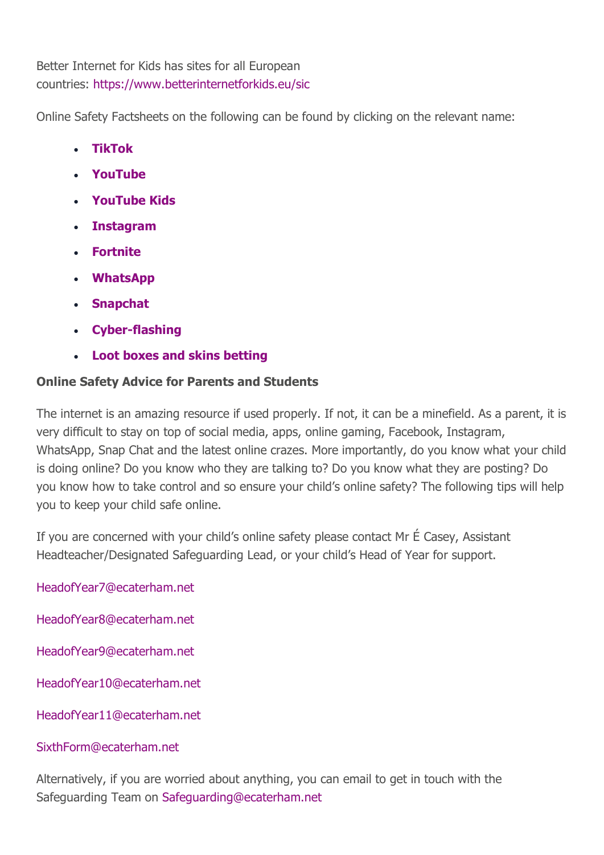Better Internet for Kids has sites for all European countries: <https://www.betterinternetforkids.eu/sic>

Online Safety Factsheets on the following can be found by clicking on the relevant name:

- **[TikTok](https://parenthub.thekeysupport.com/parent-online-safety-zone/child-safety-tiktok-factsheet.html)**
- **[YouTube](https://parenthub.thekeysupport.com/parent-online-safety-zone/child-safety-youtube-parent-factsheet.html)**
- **[YouTube Kids](https://parenthub.thekeysupport.com/parent-online-safety-zone/child-safety-youtube-kids-factsheet.html)**
- **[Instagram](https://parenthub.thekeysupport.com/parent-online-safety-zone/child-safety-instagram-parent-factsheet.html)**
- **[Fortnite](https://parenthub.thekeysupport.com/parent-online-safety-zone/child-safety-fortnite-parent-factsheet.html)**
- **[WhatsApp](https://parenthub.thekeysupport.com/parent-online-safety-zone/child-safety-whatsapp-parent-factsheet.html)**
- **[Snapchat](https://parenthub.thekeysupport.com/parent-online-safety-zone/child-safety-snapchat-parent-factsheet.html)**
- **[Cyber-flashing](https://parenthub.thekeysupport.com/parent-online-safety-zone/child-safety-cyber-flashing-factsheet.html)**
- **[Loot boxes and skins betting](https://parenthub.thekeysupport.com/parent-online-safety-zone/child-safety-loot-boxes-and-skins-betting-parent-factsheet.html)**

#### **Online Safety Advice for Parents and Students**

The internet is an amazing resource if used properly. If not, it can be a minefield. As a parent, it is very difficult to stay on top of social media, apps, online gaming, Facebook, Instagram, WhatsApp, Snap Chat and the latest online crazes. More importantly, do you know what your child is doing online? Do you know who they are talking to? Do you know what they are posting? Do you know how to take control and so ensure your child's online safety? The following tips will help you to keep your child safe online.

If you are concerned with your child's online safety please contact Mr É Casey, Assistant Headteacher/Designated Safeguarding Lead, or your child's Head of Year for support.

[HeadofYear7@ecaterham.net](mailto:HeadofYear7@ecaterham.net)

[HeadofYear8@ecaterham.net](mailto:HeadofYear8@ecaterham.net)

[HeadofYear9@ecaterham.net](mailto:HeadofYear9@ecaterham.net)

[HeadofYear10@ecaterham.net](mailto:HeadofYear10@ecaterham.net)

[HeadofYear11@ecaterham.net](mailto:HeadofYear11@ecaterham.net)

#### [SixthForm@ecaterham.net](mailto:SixthForm@ecaterham.net)

Alternatively, if you are worried about anything, you can email to get in touch with the Safeguarding Team on [Safeguarding@ecaterham.net](mailto:Safeguarding@ecaterham.net)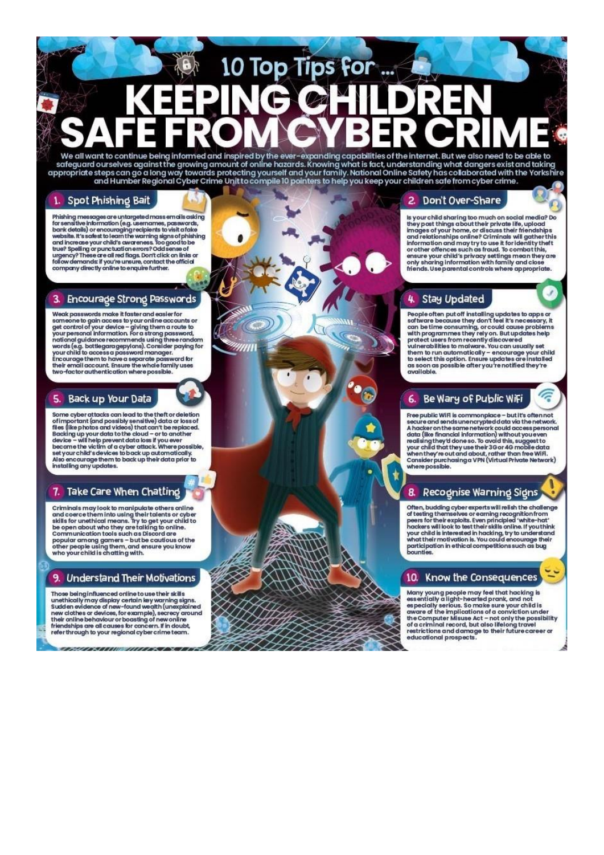# 10 Top Tips for We all want to continue being informed and inspired by the ever-expanding capabilities of the internet. But we also need to be able to

safeguard ourselves against the growing amount of online hazards. Knowing what is fact, understanding what dangers exist and taking appropriate steps can go a long way towards protecting yourself and your family. National Online Safety has collaborated with the Yorkshire<br>and Humber Regional Cyber Crime Unit to compile 10 pointers to help you keep your

#### 1. Spot Phishing Bait

Phishing messages are untargeted mass emails asking<br>for sensitive information (e.g. usemames, passwords,<br>bank details) or encouraging recipients to visit a fake<br>website. It's safest to learn the warning signs of phishing<br>a shelling or punctuation errors? Odd sense of<br>true? Spelling or punctuation errors? Odd sense of<br>triency? These are all red flags. Don't click on links or<br>company directly vanile to enquire further.

#### 3. Encourage Strong Passwords

Weak passwords make it faster and easier for sameone to gain access to your online accounts or<br>get control of your device – giving them a route to<br>your personal information. For a strong password,<br>national guidance recommends using three random<br>national guidance reco Nova Seg. battlegaragely/ans). Consider paying for<br>wour child to access a password manager.<br>Encourage them to have a separate password for<br>their email account. Ensure the whole family uses two-factor authentication where possible

#### $5.$ Back up Your Data

some cyber attacks can lead to the theft or deletion<br>of important (and possibly sensitive) data or loss of<br>files (like photos and videos) that can't be replaced.<br>Backing up your data to the cloud – or to another<br>device – w

#### 7. Take Care When Chatting

Criminals may look to manipulate others online communication in the using their talents or cyber<br>skills for unethical means. Try to get your child to<br>be open about who they are talking to online.<br>Communication tools such as Discord are popular among gamers - but be cautious of the<br>other people using them, and ensure you know<br>who your child is chatting with.

#### 9. Understand Their Motivations

Those being influenced online to use their skills Those being nnthuenced online to use their skins<br>unethically may display certain key warning signs.<br>Sudden evidence of new-found wealth (unexplained<br>new clothes or devices, for example), secrecy around<br>their online behavio through to your regional cyber crime team.

#### 2. Don't Over-Share

is your child sharing too much on social media? Do<br>they post things about their private life, upload<br>images of your home, or discuss their friendships<br>and relationships online? Criminals will gather this information and may try to use it for identity theft<br>or other offences such as fraud. To combat this, ensure your child's privacy settings mean they are<br>only sharing information with family and close friends. Use parental controls where appropriate.

 $\Omega$ 

J.

有

#### 4 **Stay Updated**

People often put off installing updates to apps or<br>software because they don't feel it's necessary, it<br>can be time consuming, or could cause problems<br>with programmes they rely on. But updates help<br>protect users from recent *available* 

#### Be Wary of Public WiFi  $6.$

Free public WiFi is commonplace - but it's often not Free public WiFi is commonplace – but it's often not<br>secure and sends unencrypted data via the network.<br>A hacker on the same network could access personal<br>data (like financial information) without you even<br>realising they d Consider purchasing a VPN (Virtual Private Network)<br>where possible.

#### 8. Recognise Warning Signs

Often, budding cyber experts will relish the challenge<br>of testing themselves or earning recognition from<br>peers for their exploits. Even principled 'white-hat'<br>hackers will look to test their skills online. If you think<br>you participation in ethical competitions such as bug<br>bounties.

#### 10. Know the Consequences

Many young people may feel that hacking is<br>essentially a light-hearted prank, and not especially serious. So make sure your child is<br>aware of the implications of a conviction under<br>the Computer Misuse Act – not only the possibility<br>of a criminal record, but also lifelong travel restrictions and damage to their future career or educational prospects.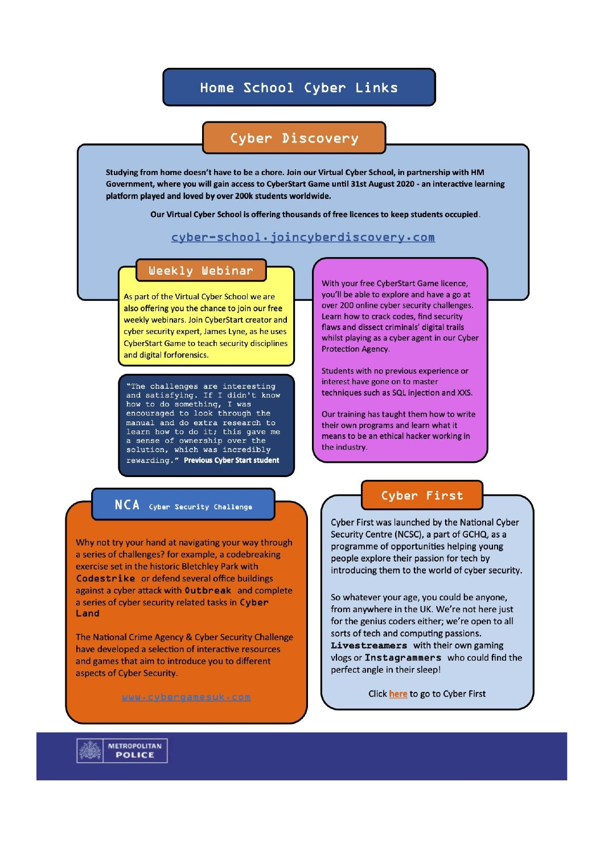#### Home School Cyber Links

#### Cyber Discovery

Studying from home doesn't have to be a chore. Join our Virtual Cyber School, in partnership with HM Government, where you will gain access to CyberStart Game until 31st August 2020 - an interactive learning platform played and loved by over 200k students worldwide.

Our Virtual Cyber School is offering thousands of free licences to keep students occupied.

#### cyber-school.joincyberdiscovery.com

#### Weekly Webinar

As part of the Virtual Cyber School we are also offering you the chance to join our free weekly webinars. Join CyberStart creator and cyber security expert, James Lyne, as he uses **CyberStart Game to teach security disciplines** and digital forforensics.

"The challenges are interesting and satisfying. If I didn't know how to do something, I was encouraged to look through the manual and do extra research to learn how to do it; this gave me a sense of ownership over the solution, which was incredibly rewarding." Previous Cyber Start student

#### **NCA** Cyber Security Challenge

Why not try your hand at navigating your way through a series of challenges? for example, a codebreaking exercise set in the historic Bletchley Park with Codestrike or defend several office buildings against a cyber attack with Outbreak and complete a series of cyber security related tasks in Cyber Land

The National Crime Agency & Cyber Security Challenge have developed a selection of interactive resources and games that aim to introduce you to different aspects of Cyber Security.

With your free CyberStart Game licence, you'll be able to explore and have a go at over 200 online cyber security challenges. Learn how to crack codes, find security flaws and dissect criminals' digital trails whilst playing as a cyber agent in our Cyber Protection Agency.

Students with no previous experience or interest have gone on to master techniques such as SQL injection and XXS.

Our training has taught them how to write their own programs and learn what it means to be an ethical hacker working in the industry.

#### Cyber First

Cyber First was launched by the National Cyber Security Centre (NCSC), a part of GCHQ, as a programme of opportunities helping young people explore their passion for tech by introducing them to the world of cyber security.

So whatever your age, you could be anyone, from anywhere in the UK. We're not here just for the genius coders either; we're open to all sorts of tech and computing passions. Livestreamers with their own gaming vlogs or Instagrammers who could find the perfect angle in their sleep!

Click here to go to Cyber First

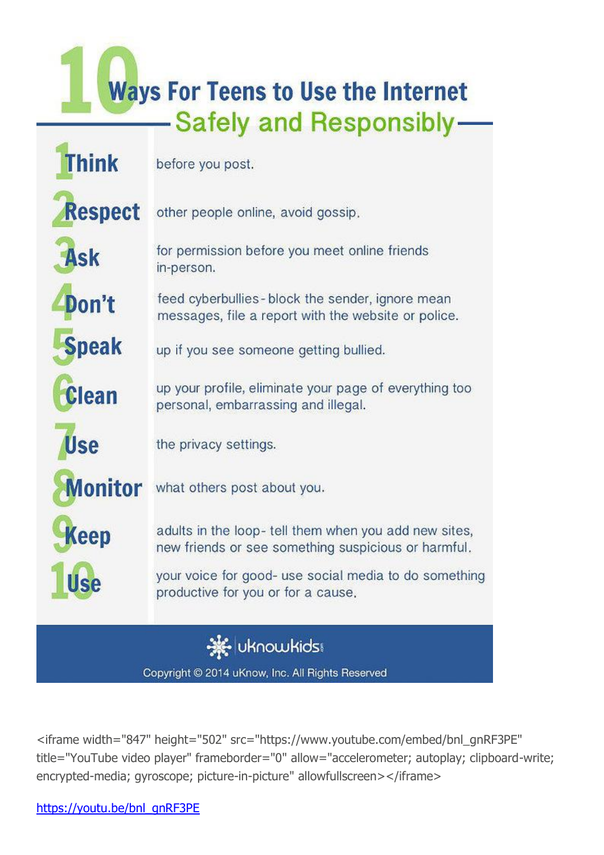# **Ways For Teens to Use the Internet** -Safely and Responsibly-

| <b>Think</b>   | before you post.                                                                                            |
|----------------|-------------------------------------------------------------------------------------------------------------|
| <b>Respect</b> | other people online, avoid gossip.                                                                          |
| <b>Ask</b>     | for permission before you meet online friends<br>in-person.                                                 |
| Don't          | feed cyberbullies - block the sender, ignore mean<br>messages, file a report with the website or police.    |
| <b>Speak</b>   | up if you see someone getting bullied.                                                                      |
| <b>Clean</b>   | up your profile, eliminate your page of everything too<br>personal, embarrassing and illegal.               |
| <b>Use</b>     | the privacy settings.                                                                                       |
| <b>Monitor</b> | what others post about you.                                                                                 |
| Keep           | adults in the loop-tell them when you add new sites,<br>new friends or see something suspicious or harmful. |
| Use            | your voice for good- use social media to do something<br>productive for you or for a cause.                 |
|                | <b>uknowkids:</b>                                                                                           |

Copyright © 2014 uKnow, Inc. All Rights Reserved

<iframe width="847" height="502" src="https://www.youtube.com/embed/bnl\_gnRF3PE" title="YouTube video player" frameborder="0" allow="accelerometer; autoplay; clipboard-write; encrypted-media; gyroscope; picture-in-picture" allowfullscreen></iframe>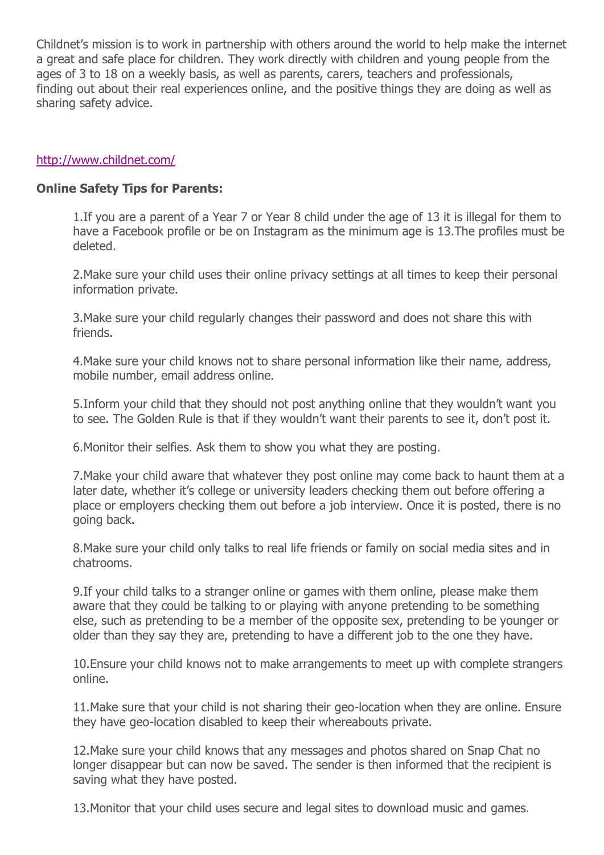Childnet's mission is to work in partnership with others around the world to help make the internet a great and safe place for children. They work directly with children and young people from the ages of 3 to 18 on a weekly basis, as well as parents, carers, teachers and professionals, finding out about their real experiences online, and the positive things they are doing as well as sharing safety advice.

#### <http://www.childnet.com/>

#### **Online Safety Tips for Parents:**

1.If you are a parent of a Year 7 or Year 8 child under the age of 13 it is illegal for them to have a Facebook profile or be on Instagram as the minimum age is 13.The profiles must be deleted.

2.Make sure your child uses their online privacy settings at all times to keep their personal information private.

3.Make sure your child regularly changes their password and does not share this with friends.

4.Make sure your child knows not to share personal information like their name, address, mobile number, email address online.

5.Inform your child that they should not post anything online that they wouldn't want you to see. The Golden Rule is that if they wouldn't want their parents to see it, don't post it.

6.Monitor their selfies. Ask them to show you what they are posting.

7.Make your child aware that whatever they post online may come back to haunt them at a later date, whether it's college or university leaders checking them out before offering a place or employers checking them out before a job interview. Once it is posted, there is no going back.

8.Make sure your child only talks to real life friends or family on social media sites and in chatrooms.

9.If your child talks to a stranger online or games with them online, please make them aware that they could be talking to or playing with anyone pretending to be something else, such as pretending to be a member of the opposite sex, pretending to be younger or older than they say they are, pretending to have a different job to the one they have.

10.Ensure your child knows not to make arrangements to meet up with complete strangers online.

11.Make sure that your child is not sharing their geo-location when they are online. Ensure they have geo-location disabled to keep their whereabouts private.

12.Make sure your child knows that any messages and photos shared on Snap Chat no longer disappear but can now be saved. The sender is then informed that the recipient is saving what they have posted.

13.Monitor that your child uses secure and legal sites to download music and games.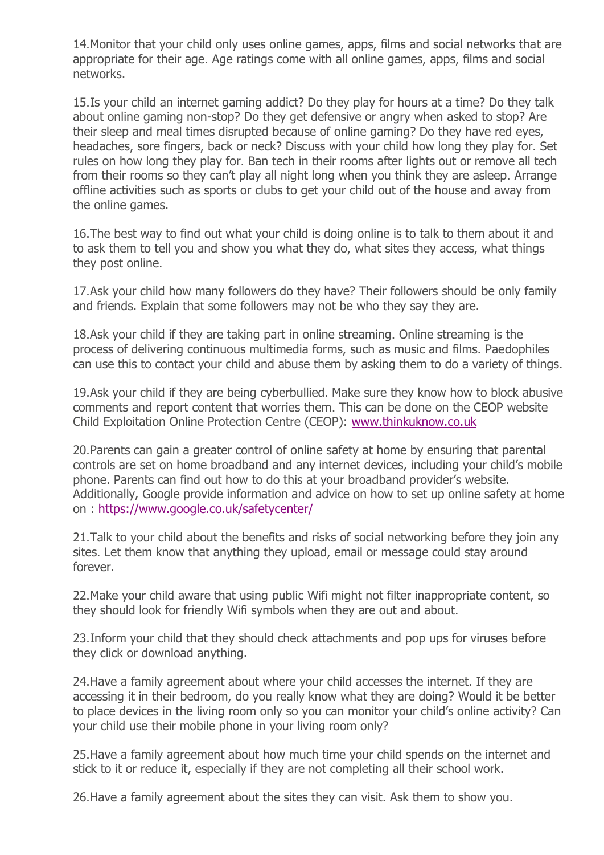14.Monitor that your child only uses online games, apps, films and social networks that are appropriate for their age. Age ratings come with all online games, apps, films and social networks.

15.Is your child an internet gaming addict? Do they play for hours at a time? Do they talk about online gaming non-stop? Do they get defensive or angry when asked to stop? Are their sleep and meal times disrupted because of online gaming? Do they have red eyes, headaches, sore fingers, back or neck? Discuss with your child how long they play for. Set rules on how long they play for. Ban tech in their rooms after lights out or remove all tech from their rooms so they can't play all night long when you think they are asleep. Arrange offline activities such as sports or clubs to get your child out of the house and away from the online games.

16.The best way to find out what your child is doing online is to talk to them about it and to ask them to tell you and show you what they do, what sites they access, what things they post online.

17.Ask your child how many followers do they have? Their followers should be only family and friends. Explain that some followers may not be who they say they are.

18.Ask your child if they are taking part in online streaming. Online streaming is the process of delivering continuous multimedia forms, such as music and films. Paedophiles can use this to contact your child and abuse them by asking them to do a variety of things.

19.Ask your child if they are being cyberbullied. Make sure they know how to block abusive comments and report content that worries them. This can be done on the CEOP website Child Exploitation Online Protection Centre (CEOP): [www.thinkuknow.co.uk](http://www.thinkuknow.co.uk/)

20.Parents can gain a greater control of online safety at home by ensuring that parental controls are set on home broadband and any internet devices, including your child's mobile phone. Parents can find out how to do this at your broadband provider's website. Additionally, Google provide information and advice on how to set up online safety at home on : <https://www.google.co.uk/safetycenter/>

21.Talk to your child about the benefits and risks of social networking before they join any sites. Let them know that anything they upload, email or message could stay around forever.

22.Make your child aware that using public Wifi might not filter inappropriate content, so they should look for friendly Wifi symbols when they are out and about.

23.Inform your child that they should check attachments and pop ups for viruses before they click or download anything.

24.Have a family agreement about where your child accesses the internet. If they are accessing it in their bedroom, do you really know what they are doing? Would it be better to place devices in the living room only so you can monitor your child's online activity? Can your child use their mobile phone in your living room only?

25.Have a family agreement about how much time your child spends on the internet and stick to it or reduce it, especially if they are not completing all their school work.

26.Have a family agreement about the sites they can visit. Ask them to show you.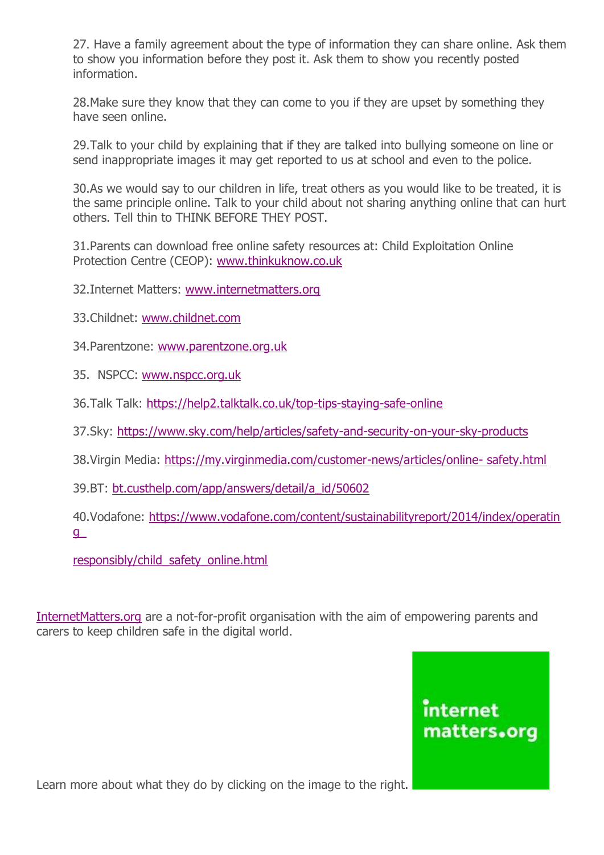27. Have a family agreement about the type of information they can share online. Ask them to show you information before they post it. Ask them to show you recently posted information.

28.Make sure they know that they can come to you if they are upset by something they have seen online.

29.Talk to your child by explaining that if they are talked into bullying someone on line or send inappropriate images it may get reported to us at school and even to the police.

30.As we would say to our children in life, treat others as you would like to be treated, it is the same principle online. Talk to your child about not sharing anything online that can hurt others. Tell thin to THINK BEFORE THEY POST.

31.Parents can download free online safety resources at: Child Exploitation Online Protection Centre (CEOP): [www.thinkuknow.co.uk](http://www.thinkuknow.co.uk/)

32.Internet Matters: [www.internetmatters.org](http://www.internetmatters.org/)

33.Childnet: [www.childnet.com](http://www.childnet.com/)

34.Parentzone: [www.parentzone.org.uk](http://www.parentzone.org.uk/)

35. NSPCC: [www.nspcc.org.uk](http://www.nspcc.org.uk/)

36.Talk Talk: <https://help2.talktalk.co.uk/top-tips-staying-safe-online>

37.Sky: <https://www.sky.com/help/articles/safety-and-security-on-your-sky-products>

38.Virgin Media: [https://my.virginmedia.com/customer-news/articles/online-](https://my.virginmedia.com/customer-news/articles/online-safety.html) safety.html

39.BT: [bt.custhelp.com/app/answers/detail/a\\_id/50602](http://bt.custhelp.com/app/answers/detail/a_id/50602)

40.Vodafone: [https://www.vodafone.com/content/sustainabilityreport/2014/index/operatin](https://www.vodafone.com/content/sustainabilityreport/2014/index/operating_responsibly/child_safety_online.html) [g\\_](https://www.vodafone.com/content/sustainabilityreport/2014/index/operating_responsibly/child_safety_online.html)

[responsibly/child\\_safety\\_online.html](https://www.vodafone.com/content/sustainabilityreport/2014/index/operating_responsibly/child_safety_online.html)

[InternetMatters.org](https://www.internetmatters.org/advice/14plus/) are a not-for-profit organisation with the aim of empowering parents and carers to keep children safe in the digital world.

### internet matters.org

Learn more about what they do by clicking on the image to the right.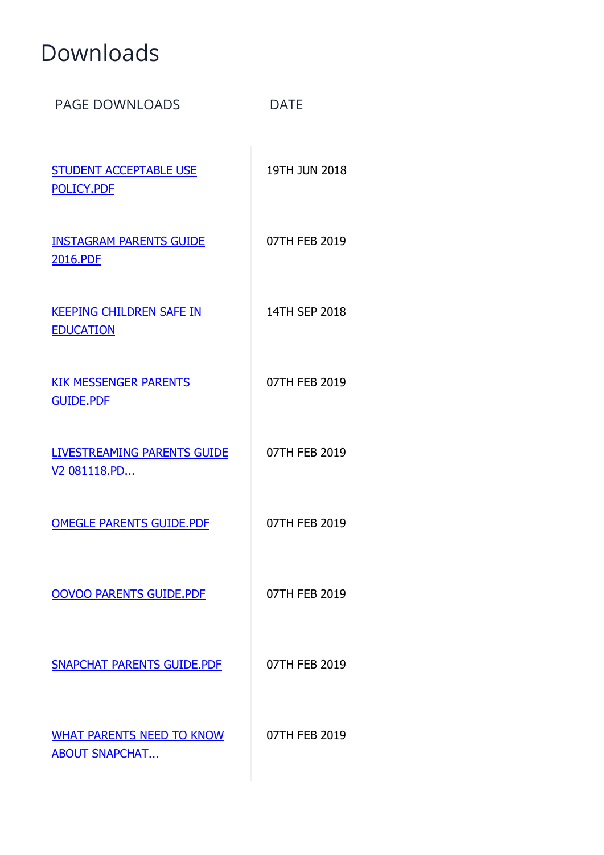## Downloads

| <b>PAGE DOWNLOADS</b>                                          | <b>DATE</b>   |
|----------------------------------------------------------------|---------------|
| <b>STUDENT ACCEPTABLE USE</b><br>POLICY.PDF                    | 19TH JUN 2018 |
| <b>INSTAGRAM PARENTS GUIDE</b><br>2016.PDF                     | 07TH FEB 2019 |
| <b>KEEPING CHILDREN SAFE IN</b><br><b>EDUCATION</b>            | 14TH SEP 2018 |
| <b>KIK MESSENGER PARENTS</b><br><b>GUIDE.PDF</b>               | 07TH FEB 2019 |
| <b>LIVESTREAMING PARENTS GUIDE</b><br>V <sub>2</sub> 081118.PD | 07TH FEB 2019 |
| <b>OMEGLE PARENTS GUIDE.PDF</b>                                | 07TH FEB 2019 |
| <b>OOVOO PARENTS GUIDE.PDF</b>                                 | 07TH FEB 2019 |
| <b>SNAPCHAT PARENTS GUIDE.PDF</b>                              | 07TH FEB 2019 |
| <b>WHAT PARENTS NEED TO KNOW</b><br><b>ABOUT SNAPCHAT</b>      | 07TH FEB 2019 |